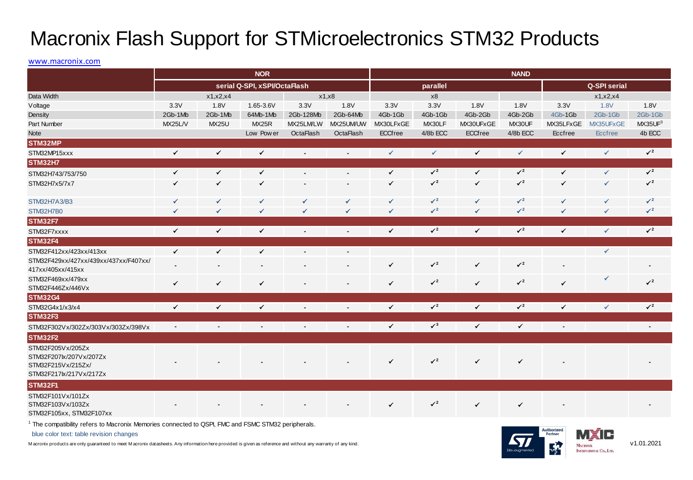## Macronix Flash Support for STMicroelectronics STM32 Products

## www.macronix.com

| <b>MOVIOHIX FIGSH OUPPUL TOF O FIVIIGFOULDITIES O FIVIDE FTOUVIGS</b>                                                                                                                                     |                              |              |                |                |                  |              |                           |              |                           |                |              |                           |
|-----------------------------------------------------------------------------------------------------------------------------------------------------------------------------------------------------------|------------------------------|--------------|----------------|----------------|------------------|--------------|---------------------------|--------------|---------------------------|----------------|--------------|---------------------------|
| www.macronix.com                                                                                                                                                                                          |                              |              |                |                |                  |              |                           |              |                           |                |              |                           |
|                                                                                                                                                                                                           | <b>NOR</b>                   |              |                |                |                  | <b>NAND</b>  |                           |              |                           |                |              |                           |
|                                                                                                                                                                                                           | serial Q-SPI, xSPI/OctaFlash |              |                |                |                  |              | parallel                  |              | Q-SPI serial              |                |              |                           |
| Data Width                                                                                                                                                                                                |                              | x1, x2, x4   | x1, x8         |                |                  | x8           |                           |              | x1, x2, x4                |                |              |                           |
| Voltage                                                                                                                                                                                                   | 3.3V                         | 1.8V         | 1.65-3.6V      | 3.3V           | 1.8V             | 3.3V         | 3.3V                      | 1.8V         | 1.8V                      | 3.3V           | 1.8V         | 1.8V                      |
| Density                                                                                                                                                                                                   | 2Gb-1Mb                      | 2Gb-1Mb      | 64Mb-1Mb       | 2Gb-128Mb      | 2Gb-64Mb         | 4Gb-1Gb      | 4Gb-1Gb                   | 4Gb-2Gb      | 4Gb-2Gb                   | 4Gb-1Gb        | 2Gb-1Gb      | 2Gb-1Gb                   |
| Part Number                                                                                                                                                                                               | MX25L/V                      | <b>MX25U</b> | MX25R          | MX25LM/LW      | MX25UM/UW        | MX30LFxGE    | MX30LF                    | MX30UFxGE    | MX30UF                    | MX35LFxGE      | MX35UFxGE    | MX35UF <sup>3</sup>       |
| <b>Note</b>                                                                                                                                                                                               |                              |              | Low Power      | OctaFlash      | <b>OctaFlash</b> | ECCfree      | 4/8b ECC                  | ECCfree      | 4/8b ECC                  | Eccfree        | Eccfree      | 4b ECC                    |
| STM32MP                                                                                                                                                                                                   |                              |              |                |                |                  |              |                           |              |                           |                |              |                           |
| STM32MP15xxx                                                                                                                                                                                              | $\checkmark$                 | $\checkmark$ | $\checkmark$   | ÷,             | ÷,               | $\checkmark$ | $\checkmark$              | $\checkmark$ | $\checkmark$              | $\checkmark$   | $\checkmark$ | $\checkmark$ <sup>2</sup> |
| <b>STM32H7</b>                                                                                                                                                                                            |                              |              |                |                |                  |              |                           |              |                           |                |              |                           |
| STM32H743/753/750                                                                                                                                                                                         | $\checkmark$                 | $\checkmark$ | $\checkmark$   |                |                  | $\checkmark$ | $\checkmark$ <sup>2</sup> | $\checkmark$ | $\checkmark$ <sup>2</sup> | $\checkmark$   | $\checkmark$ | $\checkmark$ <sup>2</sup> |
| STM32H7x5/7x7                                                                                                                                                                                             | $\checkmark$                 | $\checkmark$ | $\checkmark$   |                |                  | ✓            | $\checkmark$ <sup>2</sup> | $\checkmark$ | $\checkmark$ <sup>2</sup> | $\checkmark$   | $\checkmark$ | $\checkmark$ <sup>2</sup> |
| STM32H7A3/B3                                                                                                                                                                                              | ✓                            | ✓            | ✓              |                | ✓                | $\checkmark$ | $\checkmark$ <sup>2</sup> | ✓            | $\checkmark$ <sup>2</sup> | ✓              | $\checkmark$ | $\sqrt{2}$                |
| STM32H7B0                                                                                                                                                                                                 | ✓                            | ✓            | $\checkmark$   | ✓              | $\checkmark$     | $\checkmark$ | $\sqrt{2}$                | $\checkmark$ | $\sqrt{2}$                | ✓              | $\checkmark$ | $\sqrt{2}$                |
| <b>STM32F7</b>                                                                                                                                                                                            |                              |              |                |                |                  |              |                           |              |                           |                |              |                           |
| STM32F7xxxx                                                                                                                                                                                               | $\checkmark$                 | $\checkmark$ | $\checkmark$   | $\blacksquare$ | $\blacksquare$   | $\checkmark$ | $\sqrt{2}$                | $\checkmark$ | $\sqrt{2}$                | $\checkmark$   | $\checkmark$ | $\checkmark$ <sup>2</sup> |
| <b>STM32F4</b>                                                                                                                                                                                            |                              |              |                |                |                  |              |                           |              |                           |                |              |                           |
| STM32F412xx/423xx/413xx                                                                                                                                                                                   | $\checkmark$                 | $\checkmark$ | $\checkmark$   |                |                  |              |                           |              |                           |                | $\checkmark$ |                           |
| STM32F429xx/427xx/439xx/437xx/F407xx/<br>417xx/405xx/415xx                                                                                                                                                |                              |              |                |                |                  | $\checkmark$ | $\checkmark$ <sup>2</sup> | $\checkmark$ | $\checkmark$ <sup>2</sup> |                |              |                           |
| STM32F469xx/479xx<br>STM32F446Zx/446Vx                                                                                                                                                                    | $\checkmark$                 | $\checkmark$ | $\checkmark$   |                |                  | $\checkmark$ | $\checkmark$ <sup>2</sup> | $\checkmark$ | $\checkmark$ <sup>2</sup> | $\checkmark$   |              | $\checkmark$ <sup>2</sup> |
| <b>STM32G4</b>                                                                                                                                                                                            |                              |              |                |                |                  |              |                           |              |                           |                |              |                           |
| STM32G4x1/x3/x4                                                                                                                                                                                           | $\checkmark$                 | $\checkmark$ | $\checkmark$   |                | $\overline{a}$   | $\checkmark$ | $\checkmark$ <sup>2</sup> | $\checkmark$ | $\sqrt{2}$                | $\checkmark$   | $\checkmark$ | $\checkmark$ <sup>2</sup> |
| <b>STM32F3</b>                                                                                                                                                                                            |                              |              |                |                |                  |              |                           |              |                           |                |              |                           |
| STM32F302Vx/302Zx/303Vx/303Zx/398Vx                                                                                                                                                                       |                              |              | $\overline{a}$ |                | $\overline{a}$   | $\checkmark$ | $\checkmark$ <sup>3</sup> | $\checkmark$ | $\checkmark$              | $\overline{a}$ |              | $\blacksquare$            |
| <b>STM32F2</b>                                                                                                                                                                                            |                              |              |                |                |                  |              |                           |              |                           |                |              |                           |
| STM32F205Vx/205Zx<br>STM32F207lx/207Vx/207Zx<br>STM32F215Vx/215Zx/<br>STM32F217k/217Vx/217Zx                                                                                                              |                              |              |                |                |                  | $\checkmark$ | $\checkmark$ <sup>2</sup> | $\checkmark$ | $\checkmark$              |                |              |                           |
| STM32F1                                                                                                                                                                                                   |                              |              |                |                |                  |              |                           |              |                           |                |              |                           |
| STM32F101Vx/101Zx<br>STM32F103Vx/103Zx<br>STM32F105xx, STM32F107xx<br>$\mathbf{1}$ and $\mathbf{1}$ and $\mathbf{1}$ and $\mathbf{1}$ and $\mathbf{1}$ and $\mathbf{1}$ and $\mathbf{1}$ and $\mathbf{1}$ |                              |              |                |                |                  | $\checkmark$ | $\checkmark$ <sup>2</sup> | $\checkmark$ | $\checkmark$              |                |              |                           |

1 The compatibility refers to Macronix Memories connected to QSPI, FMC and FSMC STM32 peripherals.

blue color text: table revision changes

M acronix products are only guaranteed to meet M acronix datasheets. Any information here provided is given as reference and without any warranty of any kind.



v1.01.2021

EIF